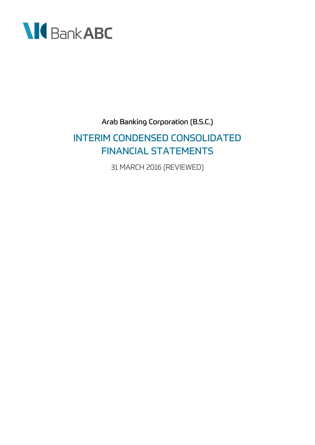

Arab Banking Corporation (B.S.C.) INTERIM CONDENSED CONSOLIDATED FINANCIAL STATEMENTS 31 MARCH 2016 (REVIEWED)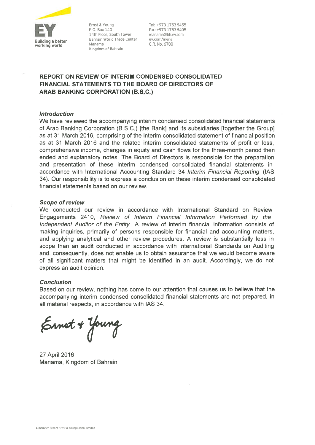

Ernst & Young P.O. Box 140 14th Floor, South Tower Bahrain World Trade Center Manama Kingdom of Bahrain

Tel: +973 1753 5455 Fax: +973 1753 5405 manama@bh.ev.com ev.com/mena C.R. No. 6700

### **REPORT ON REVIEW OF INTERIM CONDENSED CONSOLIDATED** FINANCIAL STATEMENTS TO THE BOARD OF DIRECTORS OF **ARAB BANKING CORPORATION (B.S.C.)**

#### **Introduction**

We have reviewed the accompanying interim condensed consolidated financial statements of Arab Banking Corporation (B.S.C.) [the Bank] and its subsidiaries [together the Group] as at 31 March 2016, comprising of the interim consolidated statement of financial position as at 31 March 2016 and the related interim consolidated statements of profit or loss. comprehensive income, changes in equity and cash flows for the three-month period then ended and explanatory notes. The Board of Directors is responsible for the preparation and presentation of these interim condensed consolidated financial statements in accordance with International Accounting Standard 34 Interim Financial Reporting (IAS 34). Our responsibility is to express a conclusion on these interim condensed consolidated financial statements based on our review.

#### **Scope of review**

We conducted our review in accordance with International Standard on Review Engagements 2410, Review of Interim Financial Information Performed by the Independent Auditor of the Entity. A review of interim financial information consists of making inquiries, primarily of persons responsible for financial and accounting matters, and applying analytical and other review procedures. A review is substantially less in scope than an audit conducted in accordance with International Standards on Auditing and, consequently, does not enable us to obtain assurance that we would become aware of all significant matters that might be identified in an audit. Accordingly, we do not express an audit opinion.

#### **Conclusion**

Based on our review, nothing has come to our attention that causes us to believe that the accompanying interim condensed consolidated financial statements are not prepared, in all material respects, in accordance with IAS 34.

Ernet + Young

27 April 2016 Manama, Kingdom of Bahrain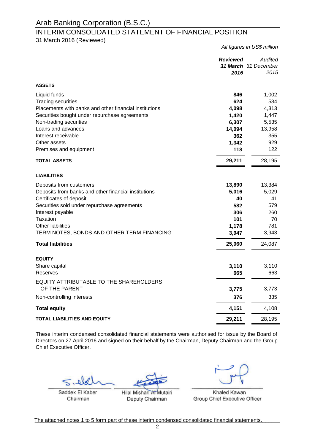### INTERIM CONSOLIDATED STATEMENT OF FINANCIAL POSITION

31 March 2016 (Reviewed)

*Reviewed Audited 31 March 31 December 2016 2015* **ASSETS**  Liquid funds **846** 1,002 Trading securities **624** 534 Placements with banks and other financial institutions **4,098** 4,313 Securities bought under repurchase agreements **1,420** 1,447 Non-trading securities **6,307** 5,535 Loans and advances **14,094** 13,958 Interest receivable **362** 355 Other assets **1,342** 929 **Premises and equipment 122** 122 **- TOTAL ASSETS 29,211** 28,195 **LIABILITIES Deposits from customers <b>13,384 13,384 13,384** Deposits from banks and other financial institutions **5,016** 5,029 **Certificates of deposit 40** 41 Securities sold under repurchase agreements **582** 579 Interest payable **306** 260 Taxation **101** 70 Other liabilities **1,178** 781 TERM NOTES, BONDS AND OTHER TERM FINANCING **3,947** 3,943 **- Total liabilities 25,060** 24,087 **EQUITY** Share capital **3,110** 3,110 Reserves **665** 663 **- 3,775** 3,773 Non-controlling interests **376** 335 **- Total equity 4,151** 4,108 **TOTAL LIABILITIES AND EQUITY 29,211** 28,195 EQUITY ATTRIBUTABLE TO THE SHAREHOLDERS OF THE PARENT

These interim condensed consolidated financial statements were authorised for issue by the Board of Directors on 27 April 2016 and signed on their behalf by the Chairman, Deputy Chairman and the Group Chief Executive Officer.

Saddek El Kaber Chairman

Hilal Mishari At Mutairi Deputy Chairman

Khaled Kawan Group Chief Executive Officer

*All figures in US\$ million*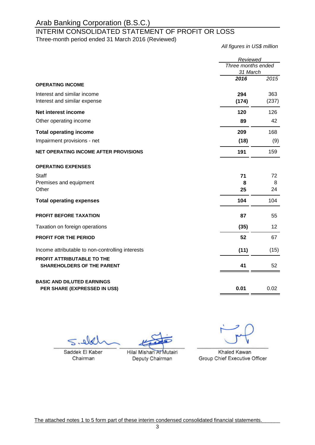### INTERIM CONSOLIDATED STATEMENT OF PROFIT OR LOSS

Three-month period ended 31 March 2016 (Reviewed)

*All figures in US\$ million*

|                                                  | Reviewed                       |       |
|--------------------------------------------------|--------------------------------|-------|
|                                                  | Three months ended<br>31 March |       |
|                                                  | 2016                           | 2015  |
| <b>OPERATING INCOME</b>                          |                                |       |
| Interest and similar income                      | 294                            | 363   |
| Interest and similar expense                     | (174)                          | (237) |
| Net interest income                              | 120                            | 126   |
| Other operating income                           | 89                             | 42    |
| <b>Total operating income</b>                    | 209                            | 168   |
| Impairment provisions - net                      | (18)                           | (9)   |
| NET OPERATING INCOME AFTER PROVISIONS            | 191                            | 159   |
| <b>OPERATING EXPENSES</b>                        |                                |       |
| Staff                                            | 71                             | 72    |
| Premises and equipment                           | 8                              | 8     |
| Other                                            | 25                             | 24    |
| <b>Total operating expenses</b>                  | 104                            | 104   |
| <b>PROFIT BEFORE TAXATION</b>                    | 87                             | 55    |
| Taxation on foreign operations                   | (35)                           | 12    |
| <b>PROFIT FOR THE PERIOD</b>                     | 52                             | 67    |
| Income attributable to non-controlling interests | (11)                           | (15)  |
| <b>PROFIT ATTRIBUTABLE TO THE</b>                |                                |       |
| <b>SHAREHOLDERS OF THE PARENT</b>                | 41                             | 52    |
| <b>BASIC AND DILUTED EARNINGS</b>                |                                |       |
| PER SHARE (EXPRESSED IN US\$)                    | 0.01                           | 0.02  |
|                                                  |                                |       |

elo  $\leq$ 

Saddek El Kaber Chairman

Hilal Mishari At Mutairi Deputy Chairman

Khaled Kawan Group Chief Executive Officer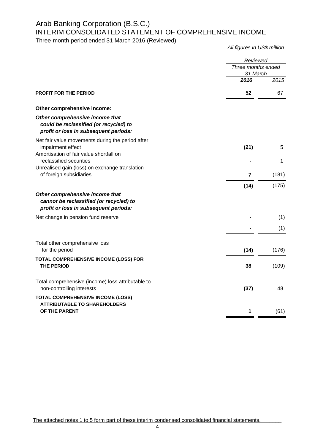### INTERIM CONSOLIDATED STATEMENT OF COMPREHENSIVE INCOME

Three-month period ended 31 March 2016 (Reviewed)

*All figures in US\$ million*

|                                                                                                                     | Reviewed                       |       |
|---------------------------------------------------------------------------------------------------------------------|--------------------------------|-------|
|                                                                                                                     | Three months ended<br>31 March |       |
|                                                                                                                     | 2016                           | 2015  |
| <b>PROFIT FOR THE PERIOD</b>                                                                                        | 52                             | 67    |
| Other comprehensive income:                                                                                         |                                |       |
| Other comprehensive income that<br>could be reclassified (or recycled) to<br>profit or loss in subsequent periods:  |                                |       |
| Net fair value movements during the period after<br>impairment effect<br>Amortisation of fair value shortfall on    | (21)                           | 5     |
| reclassified securities<br>Unrealised gain (loss) on exchange translation                                           |                                | 1     |
| of foreign subsidiaries                                                                                             | 7                              | (181) |
|                                                                                                                     | (14)                           | (175) |
| Other comprehensive income that<br>cannot be reclassified (or recycled) to<br>profit or loss in subsequent periods: |                                |       |
| Net change in pension fund reserve                                                                                  |                                | (1)   |
|                                                                                                                     |                                | (1)   |
| Total other comprehensive loss<br>for the period                                                                    | (14)                           | (176) |
| TOTAL COMPREHENSIVE INCOME (LOSS) FOR<br><b>THE PERIOD</b>                                                          | 38                             | (109) |
| Total comprehensive (income) loss attributable to<br>non-controlling interests                                      | (37)                           | 48    |
| <b>TOTAL COMPREHENSIVE INCOME (LOSS)</b><br><b>ATTRIBUTABLE TO SHAREHOLDERS</b>                                     |                                |       |
| OF THE PARENT                                                                                                       | 1                              | (61)  |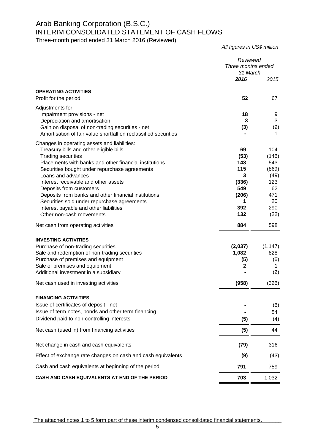# INTERIM CONSOLIDATED STATEMENT OF CASH FLOWS

Three-month period ended 31 March 2016 (Reviewed)

*All figures in US\$ million*

|                                                                                                                     | Reviewed                       |           |
|---------------------------------------------------------------------------------------------------------------------|--------------------------------|-----------|
|                                                                                                                     | Three months ended<br>31 March |           |
|                                                                                                                     | 2016                           | 2015      |
| <b>OPERATING ACTIVITIES</b>                                                                                         |                                |           |
| Profit for the period                                                                                               | 52                             | 67        |
| Adjustments for:                                                                                                    |                                |           |
| Impairment provisions - net                                                                                         | 18                             | 9         |
| Depreciation and amortisation                                                                                       | 3                              | 3         |
| Gain on disposal of non-trading securities - net<br>Amortisation of fair value shortfall on reclassified securities | (3)                            | (9)<br>1  |
|                                                                                                                     |                                |           |
| Changes in operating assets and liabilities:<br>Treasury bills and other eligible bills                             | 69                             | 104       |
| <b>Trading securities</b>                                                                                           | (53)                           | (146)     |
| Placements with banks and other financial institutions                                                              | 148                            | 543       |
| Securities bought under repurchase agreements                                                                       | 115                            | (869)     |
| Loans and advances                                                                                                  | 3                              | (49)      |
| Interest receivable and other assets                                                                                | (336)                          | 123       |
| Deposits from customers                                                                                             | 549                            | 62        |
| Deposits from banks and other financial institutions                                                                | (206)                          | 471       |
| Securities sold under repurchase agreements                                                                         | 1<br>392                       | 20<br>290 |
| Interest payable and other liabilities<br>Other non-cash movements                                                  | 132                            | (22)      |
|                                                                                                                     |                                |           |
| Net cash from operating activities                                                                                  | 884                            | 598       |
| <b>INVESTING ACTIVITIES</b>                                                                                         |                                |           |
| Purchase of non-trading securities                                                                                  | (2,037)                        | (1, 147)  |
| Sale and redemption of non-trading securities                                                                       | 1,082                          | 828       |
| Purchase of premises and equipment                                                                                  | (5)                            | (6)       |
| Sale of premises and equipment                                                                                      | $\mathbf 2$                    | 1         |
| Additional investment in a subsidiary                                                                               |                                | (2)       |
| Net cash used in investing activities                                                                               | (958)                          | (326)     |
| <b>FINANCING ACTIVITIES</b>                                                                                         |                                |           |
| Issue of certificates of deposit - net                                                                              |                                | (6)       |
| Issue of term notes, bonds and other term financing                                                                 |                                | 54        |
| Dividend paid to non-controlling interests                                                                          | (5)                            | (4)       |
| Net cash (used in) from financing activities                                                                        | (5)                            | 44        |
| Net change in cash and cash equivalents                                                                             | (79)                           | 316       |
| Effect of exchange rate changes on cash and cash equivalents                                                        | (9)                            | (43)      |
| Cash and cash equivalents at beginning of the period                                                                | 791                            | 759       |
| CASH AND CASH EQUIVALENTS AT END OF THE PERIOD                                                                      | 703                            | 1,032     |

The attached notes 1 to 5 form part of these interim condensed consolidated financial statements.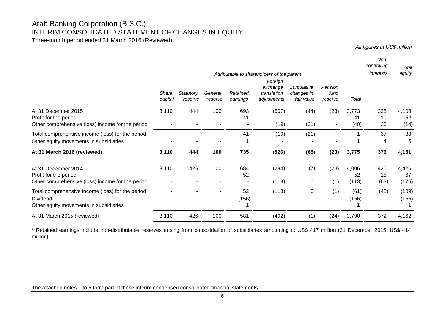### INTERIM CONSOLIDATED STATEMENT OF CHANGES IN EQUITY

Three-month period ended 31 March 2016 (Reviewed)

*All figures in US\$ million*

|                                                                                                        |                  |                      |                    |                       | Attributable to shareholders of the parent        |                                        |                            |                      | Non-<br>controlling<br>interests | Total<br>equity      |
|--------------------------------------------------------------------------------------------------------|------------------|----------------------|--------------------|-----------------------|---------------------------------------------------|----------------------------------------|----------------------------|----------------------|----------------------------------|----------------------|
|                                                                                                        | Share<br>capital | Statutory<br>reserve | General<br>reserve | Retained<br>earnings* | Foreign<br>exchange<br>translation<br>adjustments | Cumulative<br>changes in<br>fair value | Pension<br>fund<br>reserve | Total                |                                  |                      |
| At 31 December 2015<br>Profit for the period<br>Other comprehensive (loss) income for the period       | 3,110            | 444                  | 100                | 693<br>41             | (507)<br>(19)                                     | (44)<br>(21)                           | (23)                       | 3,773<br>41<br>(40)  | 335<br>11<br>26                  | 4,108<br>52<br>(14)  |
| Total comprehensive income (loss) for the period<br>Other equity movements in subsidiaries             |                  |                      |                    | 41                    | (19)                                              | (21)                                   |                            |                      | 37<br>4                          | 38<br>5              |
| At 31 March 2016 (reviewed)                                                                            | 3,110            | 444                  | 100                | 735                   | (526)                                             | (65)                                   | (23)                       | 3,775                | 376                              | 4,151                |
| At 31 December 2014<br>Profit for the period<br>Other comprehensive (loss) income for the period       | 3,110            | 426                  | 100                | 684<br>52             | (284)<br>(118)                                    | (7)<br>6                               | (23)<br>(1)                | 4,006<br>52<br>(113) | 420<br>15<br>(63)                | 4,426<br>67<br>(176) |
| Total comprehensive income (loss) for the period<br>Dividend<br>Other equity movements in subsidiaries |                  |                      |                    | 52<br>(156)           | (118)                                             | 6                                      | (1)                        | (61)<br>(156)        | (48)                             | (109)<br>(156)       |
| At 31 March 2015 (reviewed)                                                                            | 3,110            | 426                  | 100                | 581                   | (402)                                             | (1)                                    | (24)                       | 3,790                | 372                              | 4,162                |

\* Retained earnings include non-distributable reserves arising from consolidation of subsidiaries amounting to US\$ 417 million (31 December 2015: US\$ 414 million).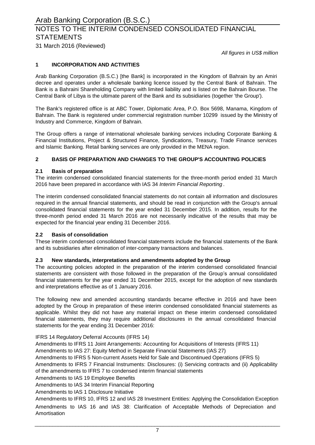# NOTES TO THE INTERIM CONDENSED CONSOLIDATED FINANCIAL **STATEMENTS**

31 March 2016 (Reviewed)

*All figures in US\$ million*

#### **1 INCORPORATION AND ACTIVITIES**

Arab Banking Corporation (B.S.C.) [the Bank] is incorporated in the Kingdom of Bahrain by an Amiri decree and operates under a wholesale banking licence issued by the Central Bank of Bahrain. The Bank is a Bahraini Shareholding Company with limited liability and is listed on the Bahrain Bourse. The Central Bank of Libya is the ultimate parent of the Bank and its subsidiaries (together 'the Group').

The Bank's registered office is at ABC Tower, Diplomatic Area, P.O. Box 5698, Manama, Kingdom of Bahrain. The Bank is registered under commercial registration number 10299 issued by the Ministry of Industry and Commerce, Kingdom of Bahrain.

The Group offers a range of international wholesale banking services including Corporate Banking & Financial Institutions, Project & Structured Finance, Syndications, Treasury, Trade Finance services and Islamic Banking. Retail banking services are only provided in the MENA region.

#### **2 BASIS OF PREPARATION AND CHANGES TO THE GROUP'S ACCOUNTING POLICIES**

#### **2.1 Basis of preparation**

The interim condensed consolidated financial statements for the three-month period ended 31 March 2016 have been prepared in accordance with IAS 34 *Interim Financial Reporting* .

The interim condensed consolidated financial statements do not contain all information and disclosures required in the annual financial statements, and should be read in conjunction with the Group's annual consolidated financial statements for the year ended 31 December 2015. In addition, results for the three-month period ended 31 March 2016 are not necessarily indicative of the results that may be expected for the financial year ending 31 December 2016.

#### **2.2 Basis of consolidation**

These interim condensed consolidated financial statements include the financial statements of the Bank and its subsidiaries after elimination of inter-company transactions and balances.

#### **2.3 New standards, interpretations and amendments adopted by the Group**

The accounting policies adopted in the preparation of the interim condensed consolidated financial statements are consistent with those followed in the preparation of the Group's annual consolidated financial statements for the year ended 31 December 2015, except for the adoption of new standards and interpretations effective as of 1 January 2016.

The following new and amended accounting standards became effective in 2016 and have been adopted by the Group in preparation of these interim condensed consolidated financial statements as applicable. Whilst they did not have any material impact on these interim condensed consolidated financial statements, they may require additional disclosures in the annual consolidated financial statements for the year ending 31 December 2016:

IFRS 14 Regulatory Deferral Accounts (IFRS 14)

Amendments to IFRS 11 Joint Arrangements: Accounting for Acquisitions of Interests (IFRS 11)

Amendments to IAS 27: Equity Method in Separate Financial Statements (IAS 27)

Amendments to IFRS 5 Non-current Assets Held for Sale and Discontinued Operations (IFRS 5)

Amendments to IFRS 7 Financial Instruments: Disclosures: (i) Servicing contracts and (ii) Applicability of the amendments to IFRS 7 to condensed interim financial statements

Amendments to IAS 19 Employee Benefits

Amendments to IAS 34 Interim Financial Reporting

Amendments to IAS 1 Disclosure Initiative

Amendments to IAS 16 and IAS 38: Clarification of Acceptable Methods of Depreciation and Amortisation Amendments to IFRS 10, IFRS 12 and IAS 28 Investment Entities: Applying the Consolidation Exception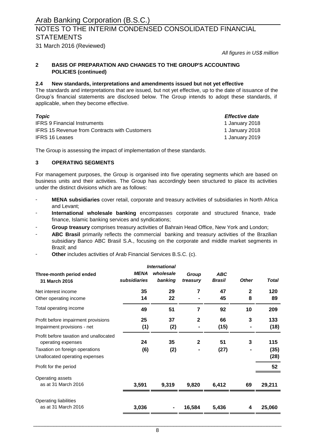# NOTES TO THE INTERIM CONDENSED CONSOLIDATED FINANCIAL **STATEMENTS**

31 March 2016 (Reviewed)

*All figures in US\$ million*

#### **2 BASIS OF PREPARATION AND CHANGES TO THE GROUP'S ACCOUNTING POLICIES (continued)**

#### **2.4 New standards, interpretations and amendments issued but not yet effective**

The standards and interpretations that are issued, but not yet effective, up to the date of issuance of the Group's financial statements are disclosed below. The Group intends to adopt these standards, if applicable, when they become effective.

| Topic                                                | <i>Effective date</i> |
|------------------------------------------------------|-----------------------|
| <b>IFRS 9 Financial Instruments</b>                  | 1 January 2018        |
| <b>IFRS 15 Revenue from Contracts with Customers</b> | 1 January 2018        |
| <b>IFRS 16 Leases</b>                                | 1 January 2019        |

The Group is assessing the impact of implementation of these standards.

#### **3 OPERATING SEGMENTS**

For management purposes, the Group is organised into five operating segments which are based on business units and their activities. The Group has accordingly been structured to place its activities under the distinct divisions which are as follows:

- **MENA subsidiaries** cover retail, corporate and treasury activities of subsidiaries in North Africa and Levant;
- **International wholesale banking** encompasses corporate and structured finance, trade finance, Islamic banking services and syndications;
- **Group treasury** comprises treasury activities of Bahrain Head Office, New York and London;
- **ABC Brasil** primarily reflects the commercial banking and treasury activities of the Brazilian subsidiary Banco ABC Brasil S.A., focusing on the corporate and middle market segments in Brazil; and
- **Other** includes activities of Arab Financial Services B.S.C. (c).

| <b>International</b>                                         |                      |                      |                   |                             |              |              |
|--------------------------------------------------------------|----------------------|----------------------|-------------------|-----------------------------|--------------|--------------|
| Three-month period ended<br>31 March 2016                    | MENA<br>subsidiaries | wholesale<br>banking | Group<br>treasury | <b>ABC</b><br><b>Brasil</b> | <b>Other</b> | <b>Total</b> |
| Net interest income                                          | 35                   | 29                   | 7                 | 47                          | $\mathbf{2}$ | 120          |
| Other operating income                                       | 14                   | 22                   |                   | 45                          | 8            | 89           |
| Total operating income                                       | 49                   | 51                   | 7                 | 92                          | 10           | 209          |
| Profit before impairment provisions                          | 25                   | 37                   | $\mathbf{2}$      | 66                          | 3            | 133          |
| Impairment provisions - net                                  | (1)                  | (2)                  |                   | (15)                        |              | (18)         |
| Profit before taxation and unallocated<br>operating expenses | 24                   | 35                   | $\mathbf{2}$      | 51                          | 3            | 115          |
| Taxation on foreign operations                               | (6)                  | (2)                  |                   | (27)                        |              | (35)         |
| Unallocated operating expenses                               |                      |                      |                   |                             |              | (28)         |
| Profit for the period                                        |                      |                      |                   |                             |              | 52           |
| Operating assets                                             |                      |                      |                   |                             |              |              |
| as at 31 March 2016                                          | 3,591                | 9,319                | 9,820             | 6,412                       | 69           | 29,211       |
| Operating liabilities                                        |                      |                      |                   |                             |              |              |
| as at 31 March 2016                                          | 3,036                |                      | 16,584            | 5,436                       | 4            | 25,060       |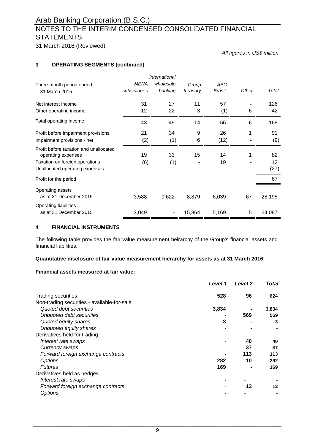# NOTES TO THE INTERIM CONDENSED CONSOLIDATED FINANCIAL **STATEMENTS**

31 March 2016 (Reviewed)

*All figures in US\$ million*

#### **3 OPERATING SEGMENTS (continued)**

|                                                              |              | International |          |        |       |        |
|--------------------------------------------------------------|--------------|---------------|----------|--------|-------|--------|
| Three-month period ended                                     | <b>MENA</b>  | wholesale     | Group    | ABC    |       |        |
| 31 March 2015                                                | subsidiaries | banking       | treasury | Brasil | Other | Total  |
| Net interest income                                          | 31           | 27            | 11       | 57     |       | 126    |
| Other operating income                                       | 12           | 22            | 3        | (1)    | 6     | 42     |
| Total operating income                                       | 43           | 49            | 14       | 56     | 6     | 168    |
| Profit before impairment provisions                          | 21           | 34            | 9        | 26     | 1     | 91     |
| Impairment provisions - net                                  | (2)          | (1)           | 6        | (12)   |       | (9)    |
| Profit before taxation and unallocated<br>operating expenses | 19           | 33            | 15       | 14     | 1     | 82     |
| Taxation on foreign operations                               | (6)          | (1)           |          | 19     |       | 12     |
| Unallocated operating expenses                               |              |               |          |        |       | (27)   |
| Profit for the period                                        |              |               |          |        |       | 67     |
| Operating assets                                             |              |               |          |        |       |        |
| as at 31 December 2015                                       | 3,588        | 9,622         | 8,879    | 6,039  | 67    | 28,195 |
| Operating liabilities                                        |              |               |          |        |       |        |
| as at 31 December 2015                                       | 3,049        |               | 15,864   | 5,169  | 5     | 24,087 |

#### **4 FINANCIAL INSTRUMENTS**

The following table provides the fair value measurement heirarchy of the Group's financial assets and financial liabilities.

#### **Quantitative disclosure of fair value measurement hierarchy for assets as at 31 March 2016:**

#### **Financial assets measured at fair value:**

|                                             | Level 1 | Level <sub>2</sub> | <b>Total</b> |
|---------------------------------------------|---------|--------------------|--------------|
| <b>Trading securities</b>                   | 528     | 96                 | 624          |
| Non-trading securities - available-for-sale |         |                    |              |
| Quoted debt securities                      | 3,834   |                    | 3,834        |
| Unquoted debt securities                    |         | 569                | 569          |
| Quoted equity shares                        | 3       |                    | 3            |
| Unquoted equity shares                      |         |                    |              |
| Derivatives held for trading                |         |                    |              |
| Interest rate swaps                         |         | 40                 | 40           |
| Currency swaps                              |         | 37                 | 37           |
| Forward foreign exchange contracts          |         | 113                | 113          |
| Options                                     | 282     | 10                 | 292          |
| <b>Futures</b>                              | 169     |                    | 169          |
| Derivatives held as hedges                  |         |                    |              |
| Interest rate swaps                         |         |                    |              |
| Forward foreign exchange contracts          |         | 13                 | 13           |
| <b>Options</b>                              |         |                    |              |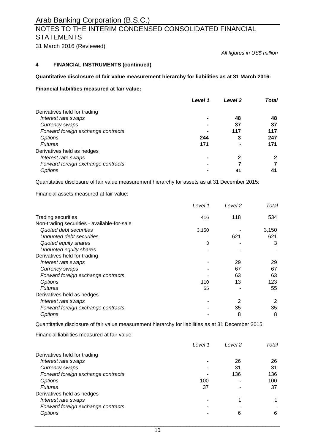# **NOTES TO THE INTERIM CONDENSED CONSOLIDATED FINANCIAL STATEMENTS**

31 March 2016 (Reviewed)

*All figures in US\$ million*

### **4 FINANCIAL INSTRUMENTS (continued)**

#### **Quantitative disclosure of fair value measurement hierarchy for liabilities as at 31 March 2016:**

#### **Financial liabilities measured at fair value:**

| <b>Level 1</b>                     | <b>Level 2</b> | Total        |
|------------------------------------|----------------|--------------|
| Derivatives held for trading       |                |              |
| Interest rate swaps                | 48             | 48           |
| Currency swaps                     | 37             | 37           |
| Forward foreign exchange contracts | 117            | 117          |
| Options<br>244                     | 3              | 247          |
| <b>Futures</b><br>171              |                | 171          |
| Derivatives held as hedges         |                |              |
| Interest rate swaps                | 2              | $\mathbf{2}$ |
| Forward foreign exchange contracts | 7              | 7            |
| <b>Options</b>                     | 41             |              |

Quantitative disclosure of fair value measurement hierarchy for assets as at 31 December 2015:

#### Financial assets measured at fair value:

|                                             | Level 1 | Level 2 | Total |
|---------------------------------------------|---------|---------|-------|
| Trading securities                          | 416     | 118     | 534   |
| Non-trading securities - available-for-sale |         |         |       |
| Quoted debt securities                      | 3,150   |         | 3,150 |
| Unquoted debt securities                    |         | 621     | 621   |
| Quoted equity shares                        | 3       |         | 3     |
| Unquoted equity shares                      |         |         |       |
| Derivatives held for trading                |         |         |       |
| Interest rate swaps                         |         | 29      | 29    |
| Currency swaps                              |         | 67      | 67    |
| Forward foreign exchange contracts          |         | 63      | 63    |
| Options                                     | 110     | 13      | 123   |
| <b>Futures</b>                              | 55      |         | 55    |
| Derivatives held as hedges                  |         |         |       |
| Interest rate swaps                         |         | 2       | 2     |
| Forward foreign exchange contracts          |         | 35      | 35    |
| <b>Options</b>                              |         | 8       | 8     |

Quantitative disclosure of fair value measurement hierarchy for liabilities as at 31 December 2015:

Financial liabilities measured at fair value:

| Level 1                            |     | Level 2 | Total |
|------------------------------------|-----|---------|-------|
| Derivatives held for trading       |     |         |       |
| Interest rate swaps                |     | 26      | 26    |
| Currency swaps                     |     | 31      | 31    |
| Forward foreign exchange contracts |     | 136     | 136   |
| <i><b>Options</b></i>              | 100 |         | 100   |
| <b>Futures</b>                     | 37  |         | 37    |
| Derivatives held as hedges         |     |         |       |
| Interest rate swaps                |     |         |       |
| Forward foreign exchange contracts |     |         |       |
| <b>Options</b>                     |     | 6       | 6     |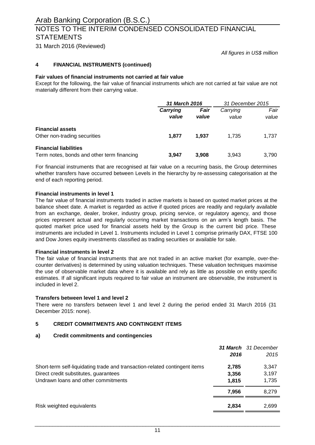## NOTES TO THE INTERIM CONDENSED CONSOLIDATED FINANCIAL **STATEMENTS**

31 March 2016 (Reviewed)

*All figures in US\$ million*

#### **4 FINANCIAL INSTRUMENTS (continued)**

#### **Fair values of financial instruments not carried at fair value**

Except for the following, the fair value of financial instruments which are not carried at fair value are not materially different from their carrying value.

|                                                                            |                   | 31 March 2016 |                   | 31 December 2015 |
|----------------------------------------------------------------------------|-------------------|---------------|-------------------|------------------|
|                                                                            | Carrying<br>value | Fair<br>value | Carrying<br>value | Fair<br>value    |
| <b>Financial assets</b><br>Other non-trading securities                    | 1.877             | 1.937         | 1.735             | 1,737            |
| <b>Financial liabilities</b><br>Term notes, bonds and other term financing | 3.947             | 3.908         | 3.943             | 3.790            |

For financial instruments that are recognised at fair value on a recurring basis, the Group determines whether transfers have occurred between Levels in the hierarchy by re-assessing categorisation at the end of each reporting period.

#### **Financial instruments in level 1**

The fair value of financial instruments traded in active markets is based on quoted market prices at the balance sheet date. A market is regarded as active if quoted prices are readily and regularly available from an exchange, dealer, broker, industry group, pricing service, or regulatory agency, and those prices represent actual and regularly occurring market transactions on an arm's length basis. The quoted market price used for financial assets held by the Group is the current bid price. These instruments are included in Level 1. Instruments included in Level 1 comprise primarily DAX, FTSE 100 and Dow Jones equity investments classified as trading securities or available for sale.

#### **Financial instruments in level 2**

The fair value of financial instruments that are not traded in an active market (for example, over-thecounter derivatives) is determined by using valuation techniques. These valuation techniques maximise the use of observable market data where it is available and rely as little as possible on entity specific estimates. If all significant inputs required to fair value an instrument are observable, the instrument is included in level 2.

#### **Transfers between level 1 and level 2**

There were no transfers between level 1 and level 2 during the period ended 31 March 2016 (31 December 2015: none).

#### **5 CREDIT COMMITMENTS AND CONTINGENT ITEMS**

#### **a) Credit commitments and contingencies**

|                                                                            |       | <b>31 March</b> 31 December |
|----------------------------------------------------------------------------|-------|-----------------------------|
|                                                                            | 2016  | 2015                        |
| Short-term self-liquidating trade and transaction-related contingent items | 2,785 | 3,347                       |
| Direct credit substitutes, guarantees                                      | 3,356 | 3,197                       |
| Undrawn loans and other commitments                                        | 1.815 | 1,735                       |
|                                                                            | 7.956 | 8.279                       |
| Risk weighted equivalents                                                  | 2,834 | 2,699                       |